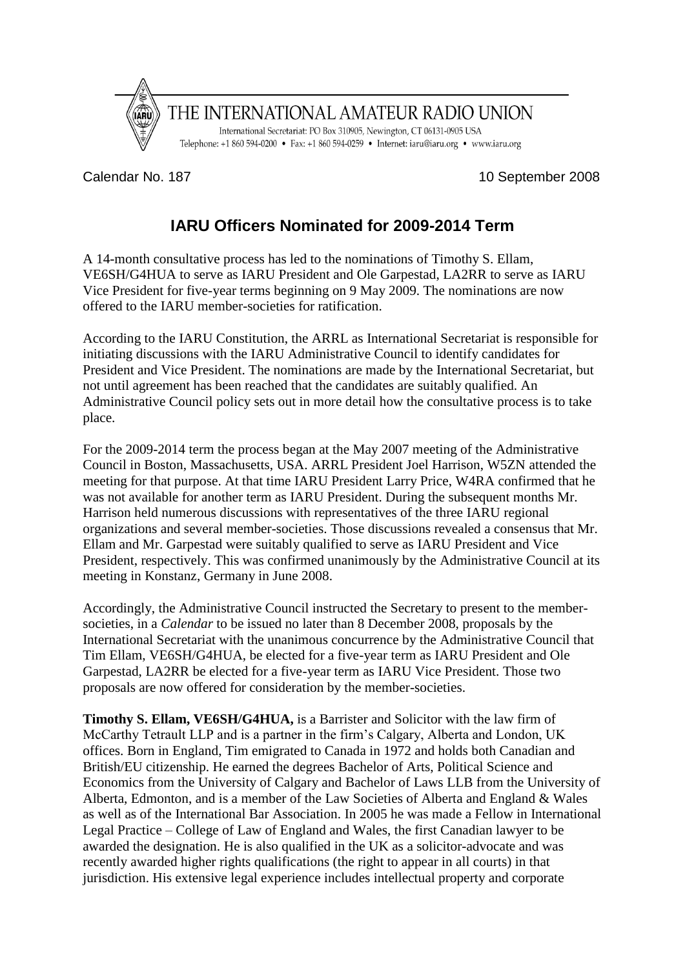

Calendar No. 187 10 September 2008

# **IARU Officers Nominated for 2009-2014 Term**

A 14-month consultative process has led to the nominations of Timothy S. Ellam, VE6SH/G4HUA to serve as IARU President and Ole Garpestad, LA2RR to serve as IARU Vice President for five-year terms beginning on 9 May 2009. The nominations are now offered to the IARU member-societies for ratification.

According to the IARU Constitution, the ARRL as International Secretariat is responsible for initiating discussions with the IARU Administrative Council to identify candidates for President and Vice President. The nominations are made by the International Secretariat, but not until agreement has been reached that the candidates are suitably qualified. An Administrative Council policy sets out in more detail how the consultative process is to take place.

For the 2009-2014 term the process began at the May 2007 meeting of the Administrative Council in Boston, Massachusetts, USA. ARRL President Joel Harrison, W5ZN attended the meeting for that purpose. At that time IARU President Larry Price, W4RA confirmed that he was not available for another term as IARU President. During the subsequent months Mr. Harrison held numerous discussions with representatives of the three IARU regional organizations and several member-societies. Those discussions revealed a consensus that Mr. Ellam and Mr. Garpestad were suitably qualified to serve as IARU President and Vice President, respectively. This was confirmed unanimously by the Administrative Council at its meeting in Konstanz, Germany in June 2008.

Accordingly, the Administrative Council instructed the Secretary to present to the membersocieties, in a *Calendar* to be issued no later than 8 December 2008, proposals by the International Secretariat with the unanimous concurrence by the Administrative Council that Tim Ellam, VE6SH/G4HUA, be elected for a five-year term as IARU President and Ole Garpestad, LA2RR be elected for a five-year term as IARU Vice President. Those two proposals are now offered for consideration by the member-societies.

**Timothy S. Ellam, VE6SH/G4HUA,** is a Barrister and Solicitor with the law firm of McCarthy Tetrault LLP and is a partner in the firm's Calgary, Alberta and London, UK offices. Born in England, Tim emigrated to Canada in 1972 and holds both Canadian and British/EU citizenship. He earned the degrees Bachelor of Arts, Political Science and Economics from the University of Calgary and Bachelor of Laws LLB from the University of Alberta, Edmonton, and is a member of the Law Societies of Alberta and England & Wales as well as of the International Bar Association. In 2005 he was made a Fellow in International Legal Practice – College of Law of England and Wales, the first Canadian lawyer to be awarded the designation. He is also qualified in the UK as a solicitor-advocate and was recently awarded higher rights qualifications (the right to appear in all courts) in that jurisdiction. His extensive legal experience includes intellectual property and corporate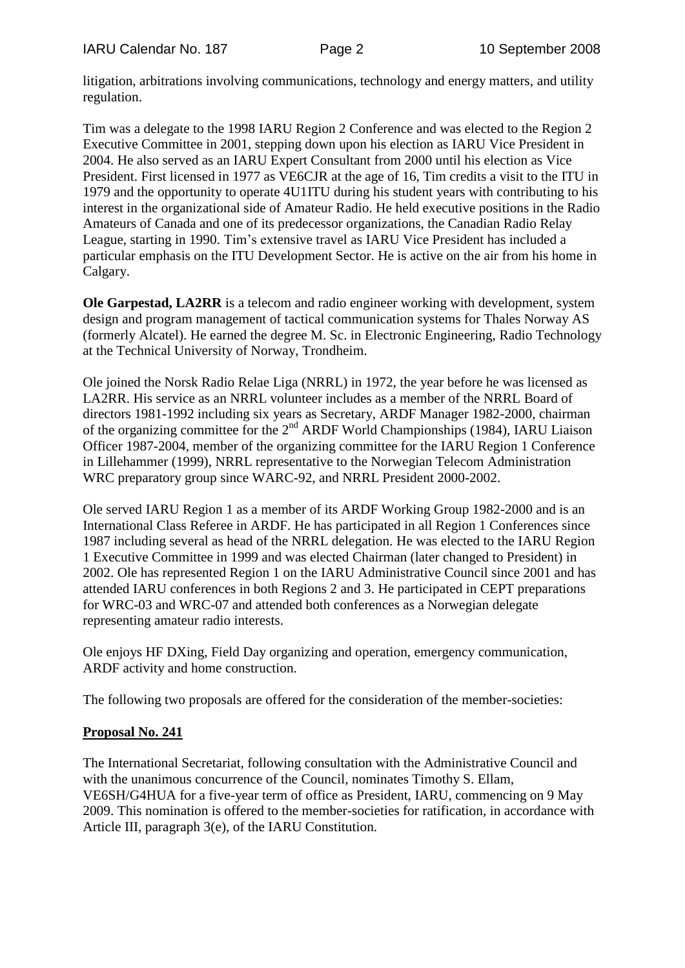litigation, arbitrations involving communications, technology and energy matters, and utility regulation.

Tim was a delegate to the 1998 IARU Region 2 Conference and was elected to the Region 2 Executive Committee in 2001, stepping down upon his election as IARU Vice President in 2004. He also served as an IARU Expert Consultant from 2000 until his election as Vice President. First licensed in 1977 as VE6CJR at the age of 16, Tim credits a visit to the ITU in 1979 and the opportunity to operate 4U1ITU during his student years with contributing to his interest in the organizational side of Amateur Radio. He held executive positions in the Radio Amateurs of Canada and one of its predecessor organizations, the Canadian Radio Relay League, starting in 1990. Tim's extensive travel as IARU Vice President has included a particular emphasis on the ITU Development Sector. He is active on the air from his home in Calgary.

**Ole Garpestad, LA2RR** is a telecom and radio engineer working with development, system design and program management of tactical communication systems for Thales Norway AS (formerly Alcatel). He earned the degree M. Sc. in Electronic Engineering, Radio Technology at the Technical University of Norway, Trondheim.

Ole joined the Norsk Radio Relae Liga (NRRL) in 1972, the year before he was licensed as LA2RR. His service as an NRRL volunteer includes as a member of the NRRL Board of directors 1981-1992 including six years as Secretary, ARDF Manager 1982-2000, chairman of the organizing committee for the  $2<sup>nd</sup>$  ARDF World Championships (1984), IARU Liaison Officer 1987-2004, member of the organizing committee for the IARU Region 1 Conference in Lillehammer (1999), NRRL representative to the Norwegian Telecom Administration WRC preparatory group since WARC-92, and NRRL President 2000-2002.

Ole served IARU Region 1 as a member of its ARDF Working Group 1982-2000 and is an International Class Referee in ARDF. He has participated in all Region 1 Conferences since 1987 including several as head of the NRRL delegation. He was elected to the IARU Region 1 Executive Committee in 1999 and was elected Chairman (later changed to President) in 2002. Ole has represented Region 1 on the IARU Administrative Council since 2001 and has attended IARU conferences in both Regions 2 and 3. He participated in CEPT preparations for WRC-03 and WRC-07 and attended both conferences as a Norwegian delegate representing amateur radio interests.

Ole enjoys HF DXing, Field Day organizing and operation, emergency communication, ARDF activity and home construction.

The following two proposals are offered for the consideration of the member-societies:

## **Proposal No. 241**

The International Secretariat, following consultation with the Administrative Council and with the unanimous concurrence of the Council, nominates Timothy S. Ellam, VE6SH/G4HUA for a five-year term of office as President, IARU, commencing on 9 May 2009. This nomination is offered to the member-societies for ratification, in accordance with Article III, paragraph 3(e), of the IARU Constitution.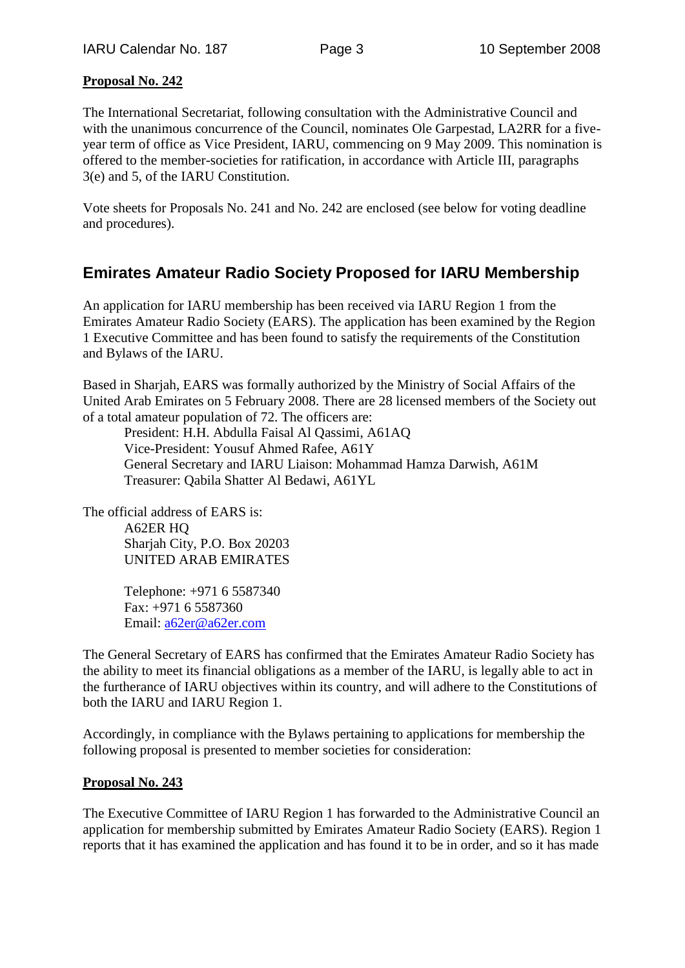#### **Proposal No. 242**

The International Secretariat, following consultation with the Administrative Council and with the unanimous concurrence of the Council, nominates Ole Garpestad, LA2RR for a fiveyear term of office as Vice President, IARU, commencing on 9 May 2009. This nomination is offered to the member-societies for ratification, in accordance with Article III, paragraphs 3(e) and 5, of the IARU Constitution.

Vote sheets for Proposals No. 241 and No. 242 are enclosed (see below for voting deadline and procedures).

# **Emirates Amateur Radio Society Proposed for IARU Membership**

An application for IARU membership has been received via IARU Region 1 from the Emirates Amateur Radio Society (EARS). The application has been examined by the Region 1 Executive Committee and has been found to satisfy the requirements of the Constitution and Bylaws of the IARU.

Based in Sharjah, EARS was formally authorized by the Ministry of Social Affairs of the United Arab Emirates on 5 February 2008. There are 28 licensed members of the Society out of a total amateur population of 72. The officers are:

President: H.H. Abdulla Faisal Al Qassimi, A61AQ Vice-President: Yousuf Ahmed Rafee, A61Y General Secretary and IARU Liaison: Mohammad Hamza Darwish, A61M Treasurer: Qabila Shatter Al Bedawi, A61YL

The official address of EARS is: A62ER HQ Sharjah City, P.O. Box 20203 UNITED ARAB EMIRATES

> Telephone: +971 6 5587340 Fax: +971 6 5587360 Email: [a62er@a62er.com](mailto:a62er@a62er.com)

The General Secretary of EARS has confirmed that the Emirates Amateur Radio Society has the ability to meet its financial obligations as a member of the IARU, is legally able to act in the furtherance of IARU objectives within its country, and will adhere to the Constitutions of both the IARU and IARU Region 1.

Accordingly, in compliance with the Bylaws pertaining to applications for membership the following proposal is presented to member societies for consideration:

#### **Proposal No. 243**

The Executive Committee of IARU Region 1 has forwarded to the Administrative Council an application for membership submitted by Emirates Amateur Radio Society (EARS). Region 1 reports that it has examined the application and has found it to be in order, and so it has made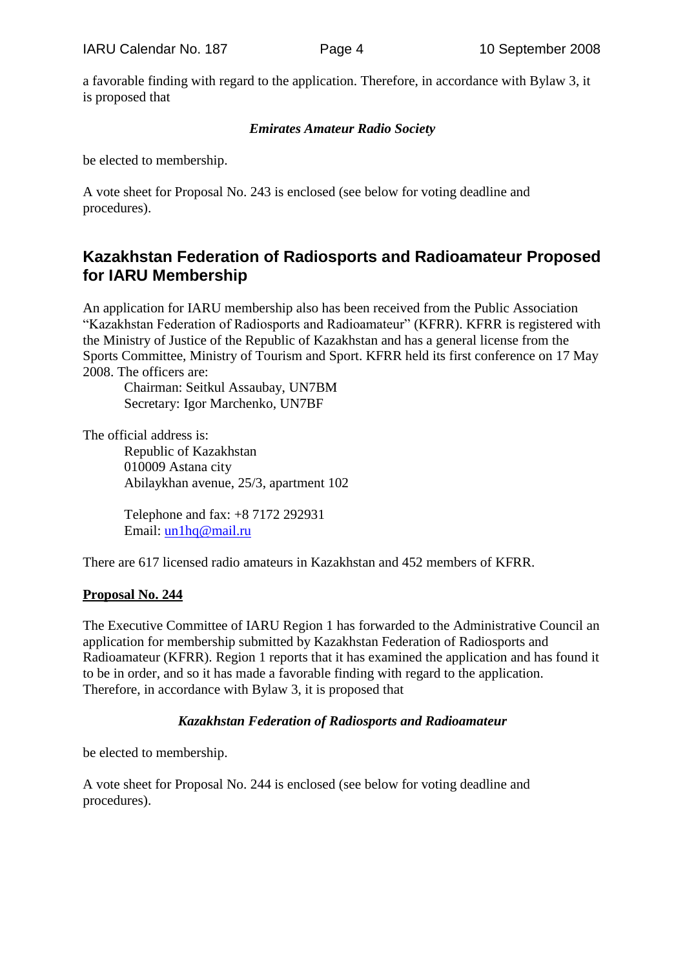a favorable finding with regard to the application. Therefore, in accordance with Bylaw 3, it is proposed that

#### *Emirates Amateur Radio Society*

be elected to membership.

A vote sheet for Proposal No. 243 is enclosed (see below for voting deadline and procedures).

## **Kazakhstan Federation of Radiosports and Radioamateur Proposed for IARU Membership**

An application for IARU membership also has been received from the Public Association "Kazakhstan Federation of Radiosports and Radioamateur" (KFRR). KFRR is registered with the Ministry of Justice of the Republic of Kazakhstan and has a general license from the Sports Committee, Ministry of Tourism and Sport. KFRR held its first conference on 17 May 2008. The officers are:

Chairman: Seitkul Assaubay, UN7BM Secretary: Igor Marchenko, UN7BF

The official address is: Republic of Kazakhstan 010009 Astana city Abilaykhan avenue, 25/3, apartment 102

> Telephone and fax: +8 7172 292931 Email: [un1hq@mail.ru](mailto:un1hq@mail.ru)

There are 617 licensed radio amateurs in Kazakhstan and 452 members of KFRR.

#### **Proposal No. 244**

The Executive Committee of IARU Region 1 has forwarded to the Administrative Council an application for membership submitted by Kazakhstan Federation of Radiosports and Radioamateur (KFRR). Region 1 reports that it has examined the application and has found it to be in order, and so it has made a favorable finding with regard to the application. Therefore, in accordance with Bylaw 3, it is proposed that

## *Kazakhstan Federation of Radiosports and Radioamateur*

be elected to membership.

A vote sheet for Proposal No. 244 is enclosed (see below for voting deadline and procedures).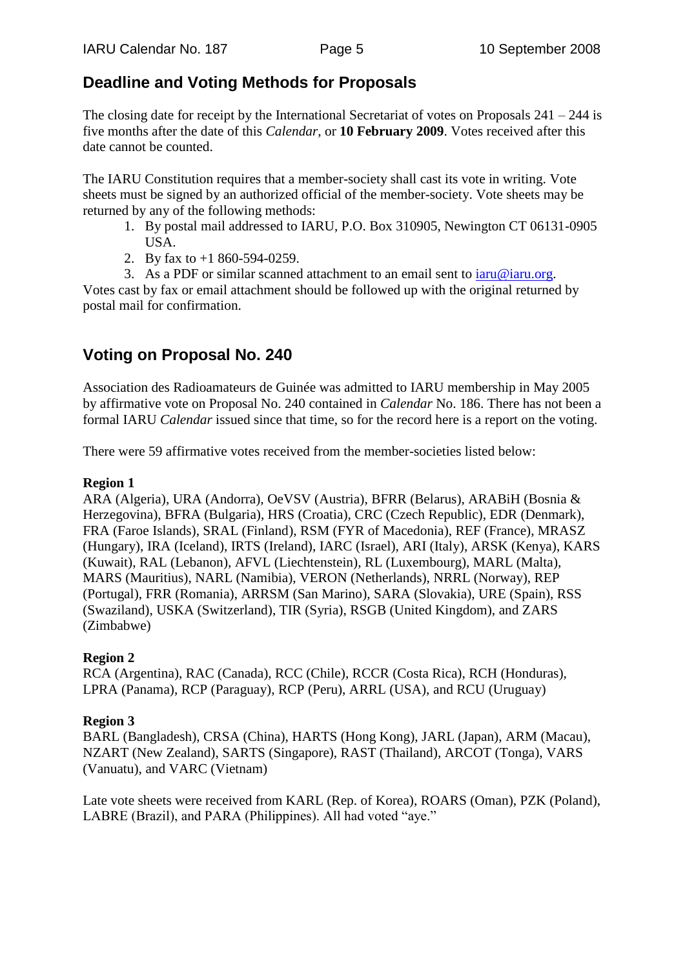# **Deadline and Voting Methods for Proposals**

The closing date for receipt by the International Secretariat of votes on Proposals  $241 - 244$  is five months after the date of this *Calendar*, or **10 February 2009**. Votes received after this date cannot be counted.

The IARU Constitution requires that a member-society shall cast its vote in writing. Vote sheets must be signed by an authorized official of the member-society. Vote sheets may be returned by any of the following methods:

- 1. By postal mail addressed to IARU, P.O. Box 310905, Newington CT 06131-0905 USA.
- 2. By fax to +1 860-594-0259.
- 3. As a PDF or similar scanned attachment to an email sent to  $iaru@iaru.org$ .

Votes cast by fax or email attachment should be followed up with the original returned by postal mail for confirmation.

# **Voting on Proposal No. 240**

Association des Radioamateurs de Guinée was admitted to IARU membership in May 2005 by affirmative vote on Proposal No. 240 contained in *Calendar* No. 186. There has not been a formal IARU *Calendar* issued since that time, so for the record here is a report on the voting.

There were 59 affirmative votes received from the member-societies listed below:

### **Region 1**

ARA (Algeria), URA (Andorra), OeVSV (Austria), BFRR (Belarus), ARABiH (Bosnia & Herzegovina), BFRA (Bulgaria), HRS (Croatia), CRC (Czech Republic), EDR (Denmark), FRA (Faroe Islands), SRAL (Finland), RSM (FYR of Macedonia), REF (France), MRASZ (Hungary), IRA (Iceland), IRTS (Ireland), IARC (Israel), ARI (Italy), ARSK (Kenya), KARS (Kuwait), RAL (Lebanon), AFVL (Liechtenstein), RL (Luxembourg), MARL (Malta), MARS (Mauritius), NARL (Namibia), VERON (Netherlands), NRRL (Norway), REP (Portugal), FRR (Romania), ARRSM (San Marino), SARA (Slovakia), URE (Spain), RSS (Swaziland), USKA (Switzerland), TIR (Syria), RSGB (United Kingdom), and ZARS (Zimbabwe)

## **Region 2**

RCA (Argentina), RAC (Canada), RCC (Chile), RCCR (Costa Rica), RCH (Honduras), LPRA (Panama), RCP (Paraguay), RCP (Peru), ARRL (USA), and RCU (Uruguay)

## **Region 3**

BARL (Bangladesh), CRSA (China), HARTS (Hong Kong), JARL (Japan), ARM (Macau), NZART (New Zealand), SARTS (Singapore), RAST (Thailand), ARCOT (Tonga), VARS (Vanuatu), and VARC (Vietnam)

Late vote sheets were received from KARL (Rep. of Korea), ROARS (Oman), PZK (Poland), LABRE (Brazil), and PARA (Philippines). All had voted "aye."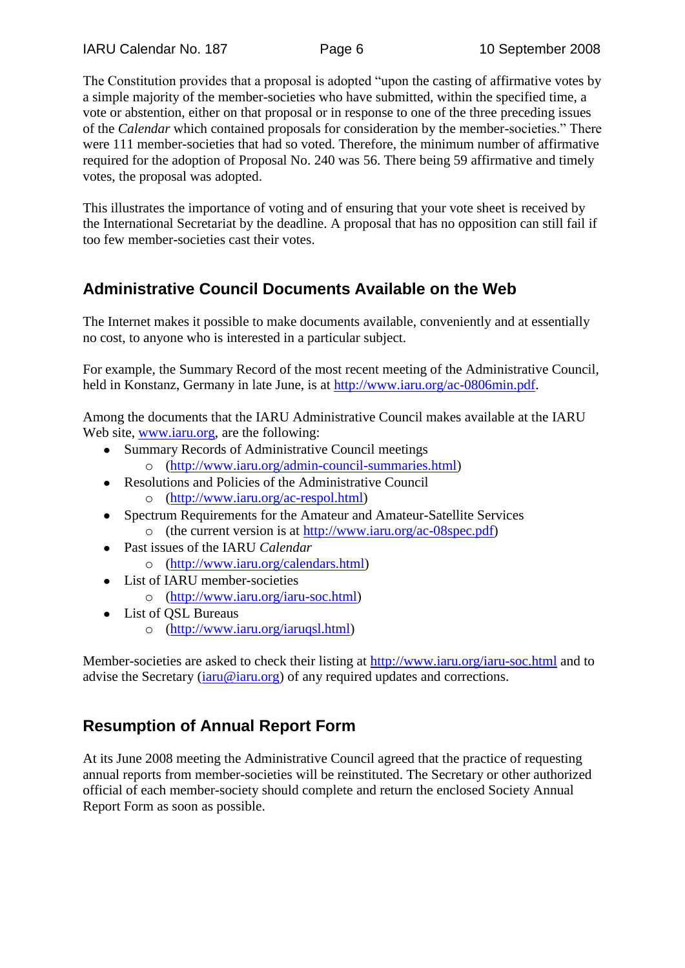The Constitution provides that a proposal is adopted "upon the casting of affirmative votes by a simple majority of the member-societies who have submitted, within the specified time, a vote or abstention, either on that proposal or in response to one of the three preceding issues of the *Calendar* which contained proposals for consideration by the member-societies." There were 111 member-societies that had so voted. Therefore, the minimum number of affirmative required for the adoption of Proposal No. 240 was 56. There being 59 affirmative and timely votes, the proposal was adopted.

This illustrates the importance of voting and of ensuring that your vote sheet is received by the International Secretariat by the deadline. A proposal that has no opposition can still fail if too few member-societies cast their votes.

# **Administrative Council Documents Available on the Web**

The Internet makes it possible to make documents available, conveniently and at essentially no cost, to anyone who is interested in a particular subject.

For example, the Summary Record of the most recent meeting of the Administrative Council, held in Konstanz, Germany in late June, is at [http://www.iaru.org/ac-0806min.pdf.](http://www.iaru.org/ac-0806min.pdf)

Among the documents that the IARU Administrative Council makes available at the IARU Web site, [www.iaru.org,](http://www.iaru.org/) are the following:

- Summary Records of Administrative Council meetings
	- o [\(http://www.iaru.org/admin-council-summaries.html\)](http://www.iaru.org/admin-council-summaries.html)
- Resolutions and Policies of the Administrative Council o [\(http://www.iaru.org/ac-respol.html\)](http://www.iaru.org/ac-respol.html)
- Spectrum Requirements for the Amateur and Amateur-Satellite Services o (the current version is at [http://www.iaru.org/ac-08spec.pdf\)](http://www.iaru.org/ac-08spec.pdf)
- Past issues of the IARU *Calendar* o [\(http://www.iaru.org/calendars.html\)](http://www.iaru.org/calendars.html)
- List of IARU member-societies
	- o [\(http://www.iaru.org/iaru-soc.html\)](http://www.iaru.org/iaru-soc.html)
- List of QSL Bureaus
	- o [\(http://www.iaru.org/iaruqsl.html\)](http://www.iaru.org/iaruqsl.html)

Member-societies are asked to check their listing at<http://www.iaru.org/iaru-soc.html> and to advise the Secretary  $(i \text{aru} @ i \text{aru.org})$  of any required updates and corrections.

# **Resumption of Annual Report Form**

At its June 2008 meeting the Administrative Council agreed that the practice of requesting annual reports from member-societies will be reinstituted. The Secretary or other authorized official of each member-society should complete and return the enclosed Society Annual Report Form as soon as possible.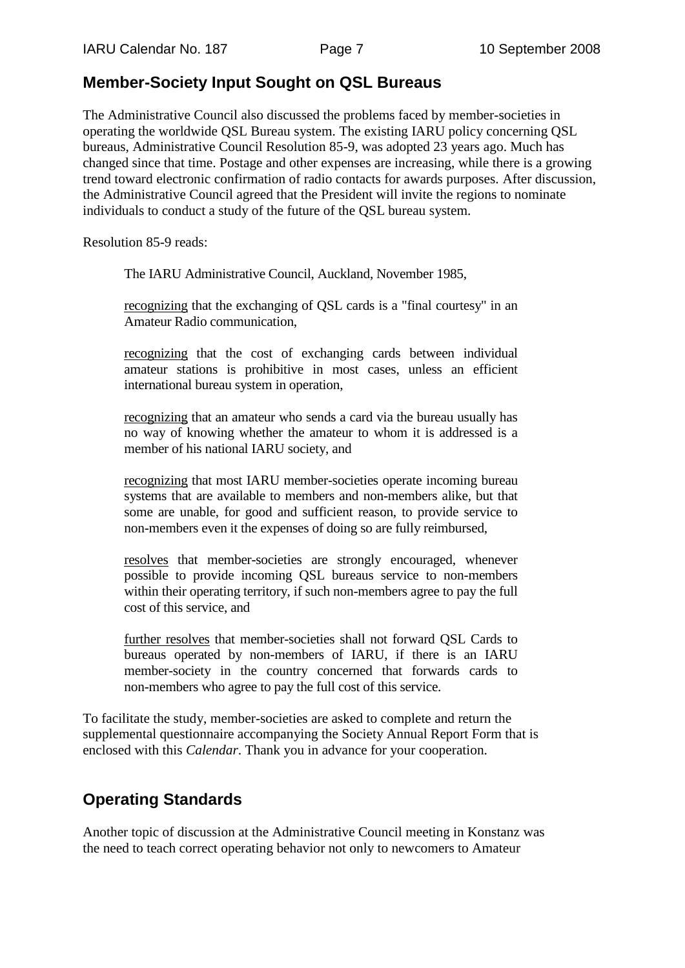## **Member-Society Input Sought on QSL Bureaus**

The Administrative Council also discussed the problems faced by member-societies in operating the worldwide QSL Bureau system. The existing IARU policy concerning QSL bureaus, Administrative Council Resolution 85-9, was adopted 23 years ago. Much has changed since that time. Postage and other expenses are increasing, while there is a growing trend toward electronic confirmation of radio contacts for awards purposes. After discussion, the Administrative Council agreed that the President will invite the regions to nominate individuals to conduct a study of the future of the QSL bureau system.

Resolution 85-9 reads:

The IARU Administrative Council, Auckland, November 1985,

recognizing that the exchanging of QSL cards is a "final courtesy" in an Amateur Radio communication,

recognizing that the cost of exchanging cards between individual amateur stations is prohibitive in most cases, unless an efficient international bureau system in operation,

recognizing that an amateur who sends a card via the bureau usually has no way of knowing whether the amateur to whom it is addressed is a member of his national IARU society, and

recognizing that most IARU member-societies operate incoming bureau systems that are available to members and non-members alike, but that some are unable, for good and sufficient reason, to provide service to non-members even it the expenses of doing so are fully reimbursed,

resolves that member-societies are strongly encouraged, whenever possible to provide incoming QSL bureaus service to non-members within their operating territory, if such non-members agree to pay the full cost of this service, and

further resolves that member-societies shall not forward QSL Cards to bureaus operated by non-members of IARU, if there is an IARU member-society in the country concerned that forwards cards to non-members who agree to pay the full cost of this service.

To facilitate the study, member-societies are asked to complete and return the supplemental questionnaire accompanying the Society Annual Report Form that is enclosed with this *Calendar*. Thank you in advance for your cooperation.

## **Operating Standards**

Another topic of discussion at the Administrative Council meeting in Konstanz was the need to teach correct operating behavior not only to newcomers to Amateur